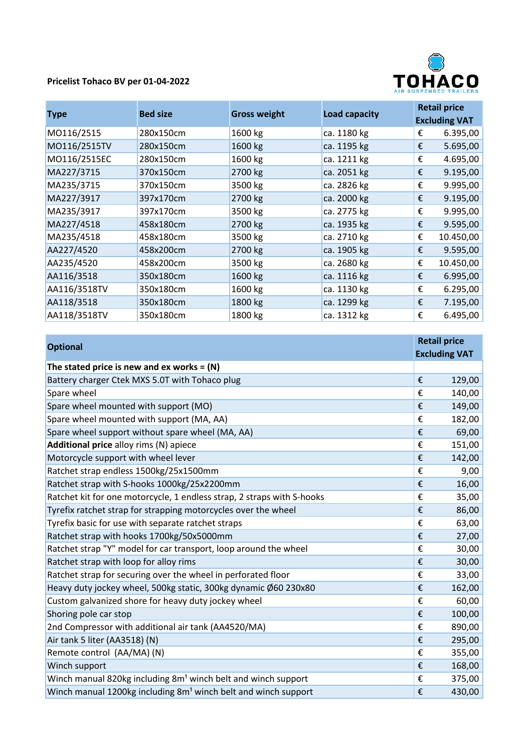## **Pricelist Tohaco BV per 01-04-2022**



| <b>Type</b>  | <b>Bed size</b> | <b>Gross weight</b> | <b>Load capacity</b> | <b>Retail price</b><br><b>Excluding VAT</b> |           |
|--------------|-----------------|---------------------|----------------------|---------------------------------------------|-----------|
| M0116/2515   | 280x150cm       | 1600 kg             | ca. 1180 kg          | €                                           | 6.395,00  |
| M0116/2515TV | 280x150cm       | 1600 kg             | ca. 1195 kg          | €                                           | 5.695,00  |
| MO116/2515EC | 280x150cm       | 1600 kg             | ca. 1211 kg          | €                                           | 4.695,00  |
| MA227/3715   | 370x150cm       | 2700 kg             | ca. 2051 kg          | €                                           | 9.195,00  |
| MA235/3715   | 370x150cm       | 3500 kg             | ca. 2826 kg          | €                                           | 9.995,00  |
| MA227/3917   | 397x170cm       | 2700 kg             | ca. 2000 kg          | €                                           | 9.195,00  |
| MA235/3917   | 397x170cm       | 3500 kg             | ca. 2775 kg          | €                                           | 9.995,00  |
| MA227/4518   | 458x180cm       | 2700 kg             | ca. 1935 kg          | €                                           | 9.595,00  |
| MA235/4518   | 458x180cm       | 3500 kg             | ca. 2710 kg          | €                                           | 10.450,00 |
| AA227/4520   | 458x200cm       | 2700 kg             | ca. 1905 kg          | €                                           | 9.595,00  |
| AA235/4520   | 458x200cm       | 3500 kg             | ca. 2680 kg          | €                                           | 10.450,00 |
| AA116/3518   | 350x180cm       | 1600 kg             | ca. 1116 kg          | €                                           | 6.995,00  |
| AA116/3518TV | 350x180cm       | 1600 kg             | ca. 1130 kg          | €                                           | 6.295,00  |
| AA118/3518   | 350x180cm       | 1800 kg             | ca. 1299 kg          | €                                           | 7.195,00  |
| AA118/3518TV | 350x180cm       | 1800 kg             | ca. 1312 kg          | €                                           | 6.495,00  |

| <b>Optional</b>                                                            | <b>Retail price</b>  |        |
|----------------------------------------------------------------------------|----------------------|--------|
|                                                                            | <b>Excluding VAT</b> |        |
| The stated price is new and ex works = $(N)$                               |                      |        |
| Battery charger Ctek MXS 5.0T with Tohaco plug                             | €                    | 129,00 |
| Spare wheel                                                                | €                    | 140,00 |
| Spare wheel mounted with support (MO)                                      | €                    | 149,00 |
| Spare wheel mounted with support (MA, AA)                                  | €                    | 182,00 |
| Spare wheel support without spare wheel (MA, AA)                           | €                    | 69,00  |
| Additional price alloy rims (N) apiece                                     | €                    | 151,00 |
| Motorcycle support with wheel lever                                        | €                    | 142,00 |
| Ratchet strap endless 1500kg/25x1500mm                                     | €                    | 9,00   |
| Ratchet strap with S-hooks 1000kg/25x2200mm                                | €                    | 16,00  |
| Ratchet kit for one motorcycle, 1 endless strap, 2 straps with S-hooks     | €                    | 35,00  |
| Tyrefix ratchet strap for strapping motorcycles over the wheel             | €                    | 86,00  |
| Tyrefix basic for use with separate ratchet straps                         | €                    | 63,00  |
| Ratchet strap with hooks 1700kg/50x5000mm                                  | €                    | 27,00  |
| Ratchet strap "Y" model for car transport, loop around the wheel           | €                    | 30,00  |
| Ratchet strap with loop for alloy rims                                     | €                    | 30,00  |
| Ratchet strap for securing over the wheel in perforated floor              | €                    | 33,00  |
| Heavy duty jockey wheel, 500kg static, 300kg dynamic Ø60 230x80            | €                    | 162,00 |
| Custom galvanized shore for heavy duty jockey wheel                        | €                    | 60,00  |
| Shoring pole car stop                                                      | €                    | 100,00 |
| 2nd Compressor with additional air tank (AA4520/MA)                        | €                    | 890,00 |
| Air tank 5 liter (AA3518) (N)                                              | €                    | 295,00 |
| Remote control (AA/MA) (N)                                                 | €                    | 355,00 |
| Winch support                                                              | €                    | 168,00 |
| Winch manual 820kg including 8m <sup>1</sup> winch belt and winch support  | €                    | 375,00 |
| Winch manual 1200kg including 8m <sup>1</sup> winch belt and winch support | €                    | 430,00 |